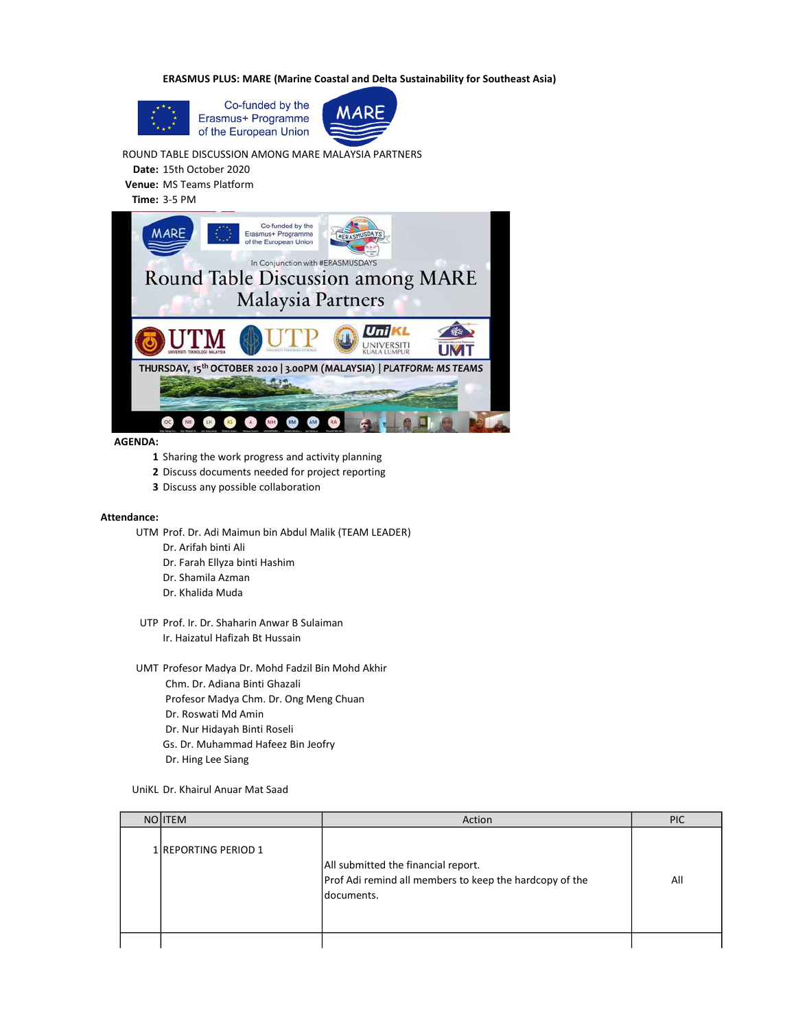ERASMUS PLUS: MARE (Marine Coastal and Delta Sustainability for Southeast Asia)





ROUND TABLE DISCUSSION AMONG MARE MALAYSIA PARTNERS

Date: 15th October 2020 Venue: MS Teams Platform

Time: 3-5 PM



AGENDA:

- 1 Sharing the work progress and activity planning
- 2 Discuss documents needed for project reporting
- 3 Discuss any possible collaboration

## Attendance:

- UTM Prof. Dr. Adi Maimun bin Abdul Malik (TEAM LEADER)
	- Dr. Arifah binti Ali
	- Dr. Farah Ellyza binti Hashim
	- Dr. Shamila Azman
	- Dr. Khalida Muda
	- UTP Prof. Ir. Dr. Shaharin Anwar B Sulaiman Ir. Haizatul Hafizah Bt Hussain
- UMT Profesor Madya Dr. Mohd Fadzil Bin Mohd Akhir
	- Chm. Dr. Adiana Binti Ghazali
		- Profesor Madya Chm. Dr. Ong Meng Chuan
		- Dr. Roswati Md Amin
		- Dr. Nur Hidayah Binti Roseli
	- Gs. Dr. Muhammad Hafeez Bin Jeofry
	- Dr. Hing Lee Siang
- UniKL Dr. Khairul Anuar Mat Saad

| NO <b>ITEM</b>               | Action                                                                                                        | <b>PIC</b> |
|------------------------------|---------------------------------------------------------------------------------------------------------------|------------|
| 1 <b>IREPORTING PERIOD 1</b> | All submitted the financial report.<br>Prof Adi remind all members to keep the hardcopy of the<br>Idocuments. | All        |
|                              |                                                                                                               |            |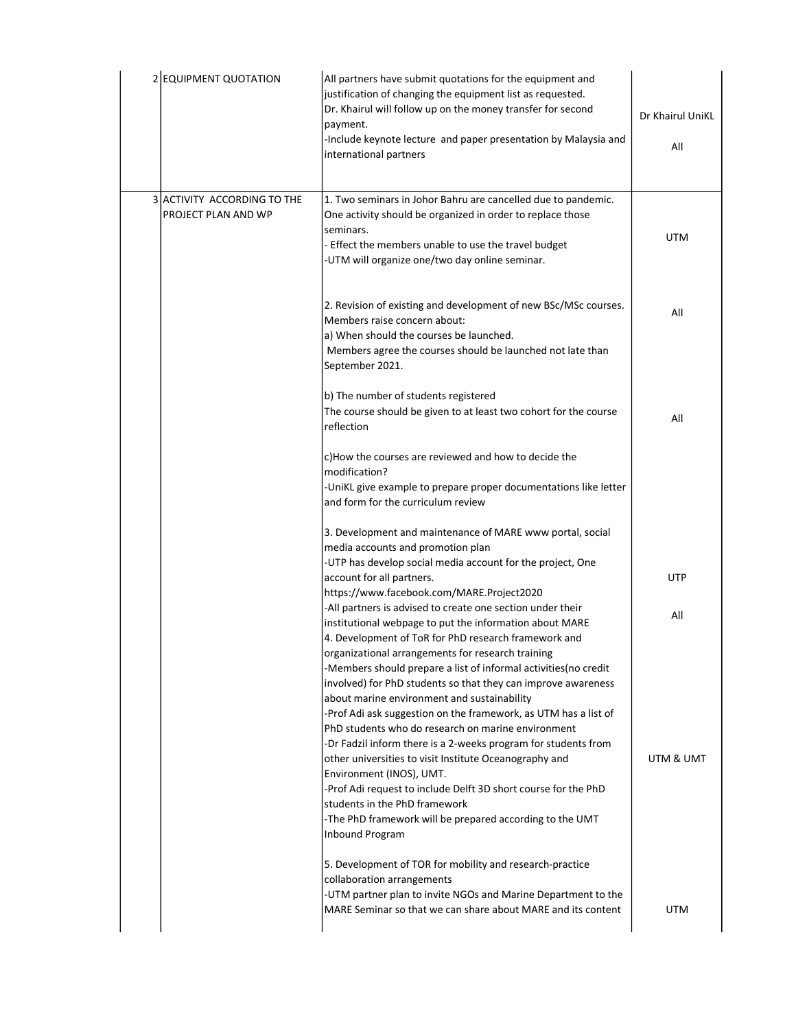| 2 EQUIPMENT QUOTATION                              | All partners have submit quotations for the equipment and<br>justification of changing the equipment list as requested.<br>Dr. Khairul will follow up on the money transfer for second<br>payment.<br>-Include keynote lecture and paper presentation by Malaysia and<br>international partners                                                                                               | Dr Khairul UniKL<br>All |
|----------------------------------------------------|-----------------------------------------------------------------------------------------------------------------------------------------------------------------------------------------------------------------------------------------------------------------------------------------------------------------------------------------------------------------------------------------------|-------------------------|
| 3 ACTIVITY ACCORDING TO THE<br>PROJECT PLAN AND WP | 1. Two seminars in Johor Bahru are cancelled due to pandemic.<br>One activity should be organized in order to replace those<br>seminars.<br>- Effect the members unable to use the travel budget<br>-UTM will organize one/two day online seminar.                                                                                                                                            | <b>UTM</b>              |
|                                                    | 2. Revision of existing and development of new BSc/MSc courses.<br>Members raise concern about:<br>a) When should the courses be launched.<br>Members agree the courses should be launched not late than<br>September 2021.                                                                                                                                                                   | All                     |
|                                                    | b) The number of students registered<br>The course should be given to at least two cohort for the course<br>reflection                                                                                                                                                                                                                                                                        | All                     |
|                                                    | c)How the courses are reviewed and how to decide the<br>modification?<br>-UniKL give example to prepare proper documentations like letter<br>and form for the curriculum review                                                                                                                                                                                                               |                         |
|                                                    | 3. Development and maintenance of MARE www portal, social<br>media accounts and promotion plan<br>-UTP has develop social media account for the project, One                                                                                                                                                                                                                                  |                         |
|                                                    | account for all partners.<br>https://www.facebook.com/MARE.Project2020                                                                                                                                                                                                                                                                                                                        | <b>UTP</b>              |
|                                                    | -All partners is advised to create one section under their<br>institutional webpage to put the information about MARE<br>4. Development of ToR for PhD research framework and<br>organizational arrangements for research training<br>-Members should prepare a list of informal activities(no credit                                                                                         | All                     |
|                                                    | involved) for PhD students so that they can improve awareness<br>about marine environment and sustainability<br>-Prof Adi ask suggestion on the framework, as UTM has a list of<br>PhD students who do research on marine environment<br>-Dr Fadzil inform there is a 2-weeks program for students from<br>other universities to visit Institute Oceanography and<br>Environment (INOS), UMT. | UTM & UMT               |
|                                                    | -Prof Adi request to include Delft 3D short course for the PhD<br>students in the PhD framework<br>-The PhD framework will be prepared according to the UMT<br>Inbound Program                                                                                                                                                                                                                |                         |
|                                                    | 5. Development of TOR for mobility and research-practice<br>collaboration arrangements<br>-UTM partner plan to invite NGOs and Marine Department to the<br>MARE Seminar so that we can share about MARE and its content                                                                                                                                                                       | <b>UTM</b>              |